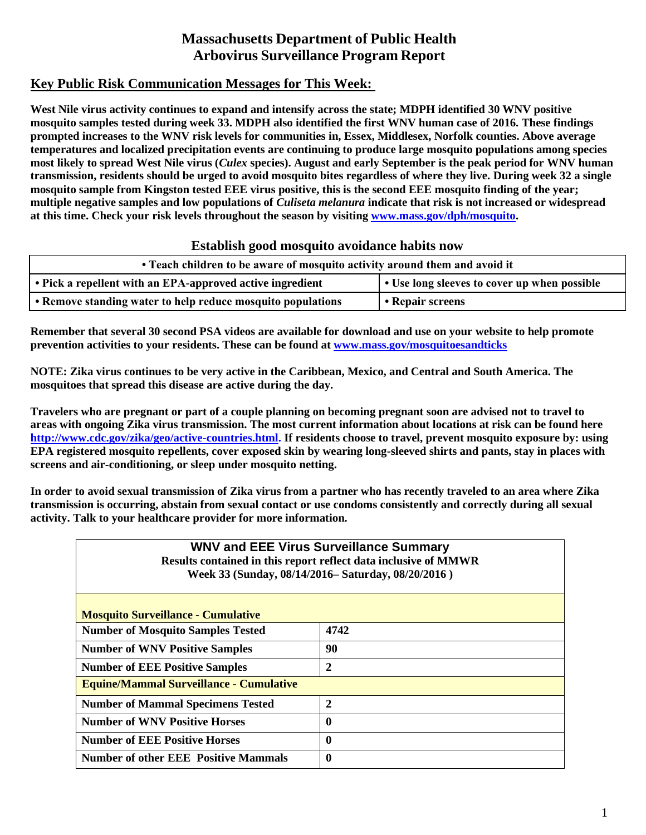# **Massachusetts Department of Public Health Arbovirus Surveillance Program Report**

## **Key Public Risk Communication Messages for This Week:**

**West Nile virus activity continues to expand and intensify across the state; MDPH identified 30 WNV positive mosquito samples tested during week 33. MDPH also identified the first WNV human case of 2016. These findings prompted increases to the WNV risk levels for communities in, Essex, Middlesex, Norfolk counties. Above average temperatures and localized precipitation events are continuing to produce large mosquito populations among species most likely to spread West Nile virus (***Culex* **species). August and early September is the peak period for WNV human transmission, residents should be urged to avoid mosquito bites regardless of where they live. During week 32 a single mosquito sample from Kingston tested EEE virus positive, this is the second EEE mosquito finding of the year; multiple negative samples and low populations of** *Culiseta melanura* **indicate that risk is not increased or widespread at this time. Check your risk levels throughout the season by visiting [www.mass.gov/dph/mosquito.](http://www.mass.gov/dph/mosquito)** 

### **Establish good mosquito avoidance habits now**

| • Teach children to be aware of mosquito activity around them and avoid it |                                              |  |  |  |
|----------------------------------------------------------------------------|----------------------------------------------|--|--|--|
| • Pick a repellent with an EPA-approved active ingredient                  | • Use long sleeves to cover up when possible |  |  |  |
| • Remove standing water to help reduce mosquito populations                | • Repair screens                             |  |  |  |

**Remember that several 30 second PSA videos are available for download and use on your website to help promote prevention activities to your residents. These can be found at [www.mass.gov/mosquitoesandticks](http://www.mass.gov/mosquitoesandticks)**

**NOTE: Zika virus continues to be very active in the Caribbean, Mexico, and Central and South America. The mosquitoes that spread this disease are active during the day.** 

**Travelers who are pregnant or part of a couple planning on becoming pregnant soon are advised not to travel to areas with ongoing Zika virus transmission. The most current information about locations at risk can be found here [http://www.cdc.gov/zika/geo/active-countries.html.](http://www.cdc.gov/zika/geo/active-countries.html) If residents choose to travel, prevent mosquito exposure by: using EPA registered mosquito repellents, cover exposed skin by wearing long-sleeved shirts and pants, stay in places with screens and air-conditioning, or sleep under mosquito netting.** 

**In order to avoid sexual transmission of Zika virus from a partner who has recently traveled to an area where Zika transmission is occurring, abstain from sexual contact or use condoms consistently and correctly during all sexual activity. Talk to your healthcare provider for more information.**

| <b>WNV and EEE Virus Surveillance Summary</b><br>Results contained in this report reflect data inclusive of MMWR<br>Week 33 (Sunday, 08/14/2016– Saturday, 08/20/2016) |                  |  |  |  |  |
|------------------------------------------------------------------------------------------------------------------------------------------------------------------------|------------------|--|--|--|--|
| <b>Mosquito Surveillance - Cumulative</b>                                                                                                                              |                  |  |  |  |  |
| <b>Number of Mosquito Samples Tested</b><br>4742                                                                                                                       |                  |  |  |  |  |
| <b>Number of WNV Positive Samples</b>                                                                                                                                  | 90               |  |  |  |  |
| <b>Number of EEE Positive Samples</b>                                                                                                                                  | $\boldsymbol{2}$ |  |  |  |  |
| <b>Equine/Mammal Surveillance - Cumulative</b>                                                                                                                         |                  |  |  |  |  |
| $\overline{2}$<br><b>Number of Mammal Specimens Tested</b>                                                                                                             |                  |  |  |  |  |
| <b>Number of WNV Positive Horses</b><br>0                                                                                                                              |                  |  |  |  |  |
| <b>Number of EEE Positive Horses</b><br>$\boldsymbol{0}$                                                                                                               |                  |  |  |  |  |
| <b>Number of other EEE Positive Mammals</b><br>$\bf{0}$                                                                                                                |                  |  |  |  |  |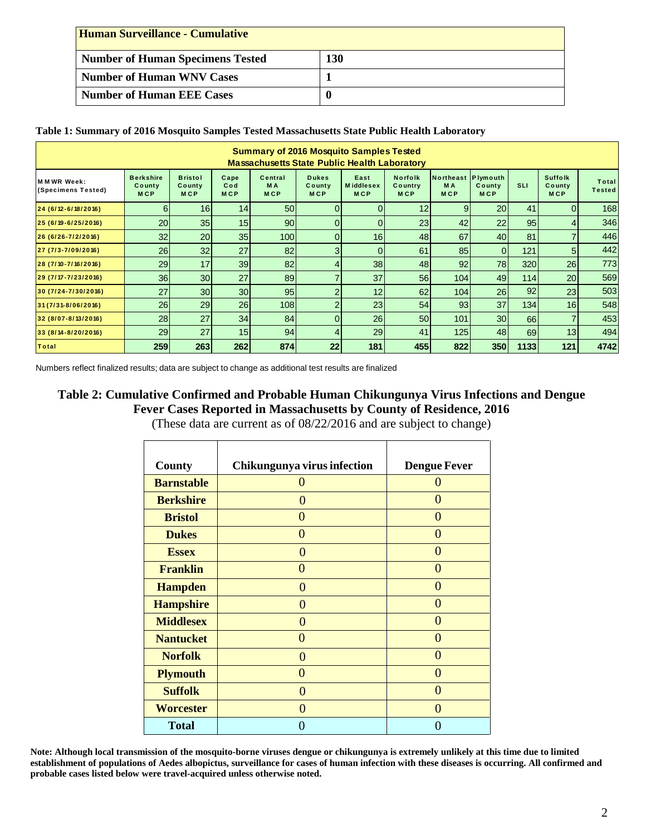| <b>Human Surveillance - Cumulative</b>  |     |  |  |  |  |
|-----------------------------------------|-----|--|--|--|--|
| <b>Number of Human Specimens Tested</b> | 130 |  |  |  |  |
| <b>Number of Human WNV Cases</b>        |     |  |  |  |  |
| <b>Number of Human EEE Cases</b>        |     |  |  |  |  |

#### **Table 1: Summary of 2016 Mosquito Samples Tested Massachusetts State Public Health Laboratory**

| <b>Summary of 2016 Mosquito Samples Tested</b><br><b>Massachusetts State Public Health Laboratory</b>                                                                                                                                                                                                                                                                  |                                          |                                        |                           |                                             |                                      |                                        |                                  |                                         |                      |            |                                        |                        |
|------------------------------------------------------------------------------------------------------------------------------------------------------------------------------------------------------------------------------------------------------------------------------------------------------------------------------------------------------------------------|------------------------------------------|----------------------------------------|---------------------------|---------------------------------------------|--------------------------------------|----------------------------------------|----------------------------------|-----------------------------------------|----------------------|------------|----------------------------------------|------------------------|
| <b>MMWRWeek:</b><br>(Specimens Tested)                                                                                                                                                                                                                                                                                                                                 | <b>Berkshire</b><br>County<br><b>MCP</b> | <b>Bristol</b><br>County<br><b>MCP</b> | Cape<br>Cod<br><b>MCP</b> | Central<br><b>MA</b><br><b>MCP</b>          | <b>Dukes</b><br>County<br><b>MCP</b> | East<br><b>Middlesex</b><br><b>MCP</b> | Norfolk<br>Country<br><b>MCP</b> | Northeast Plymouth<br>M A<br><b>MCP</b> | County<br><b>MCP</b> | <b>SLI</b> | <b>Suffolk</b><br>County<br><b>MCP</b> | Total<br><b>Tested</b> |
| 24 (6/12-6/18/2016)                                                                                                                                                                                                                                                                                                                                                    | 6                                        | 16                                     | 14                        | 50                                          | $\Omega$                             | $\overline{0}$                         | 12                               | 9                                       | 20                   | 41         | $\Omega$                               | 168                    |
| 25 (6/19-6/25/2016)                                                                                                                                                                                                                                                                                                                                                    | 20                                       | 35                                     | 15                        | 90                                          | $\mathbf{0}$                         | $\overline{0}$                         | 23                               | 42                                      | 22                   | 95         | 4                                      | 346                    |
| 26 (6/26-7/2/2016)                                                                                                                                                                                                                                                                                                                                                     | 32                                       | 20                                     | 35                        | 100                                         | $\overline{0}$                       | 16                                     | 48                               | 67                                      | 40                   | 81         | $\overline{7}$                         | 446                    |
| 27 (7/3-7/09/2016)                                                                                                                                                                                                                                                                                                                                                     | 26                                       | 32                                     | 27                        | 82                                          | 3                                    | $\overline{0}$                         | 61                               | 85                                      | $\mathbf 0$          | 121        | 5                                      | 442                    |
| 28 (7/10-7/16/2016)                                                                                                                                                                                                                                                                                                                                                    | 29                                       | 17                                     | 39                        | 82                                          | 4                                    | 38                                     | 48                               | 92                                      | 78                   | 320        | 26                                     | 773                    |
| 29 (7/17-7/23/2016)                                                                                                                                                                                                                                                                                                                                                    | 36                                       | 30                                     | 27                        | 89                                          |                                      | 37                                     | 56                               | 104                                     | 49                   | 114        | 20                                     | 569                    |
| 30 (7/24-7/30/2016)                                                                                                                                                                                                                                                                                                                                                    | 27                                       | 30                                     | 30                        | 95                                          | $\overline{2}$                       | 12                                     | 62                               | 104                                     | 26                   | 92         | 23                                     | 503                    |
| 31 (7/31-8/06/2016)                                                                                                                                                                                                                                                                                                                                                    | 26                                       | 29                                     | 26                        | 108                                         | $\overline{2}$                       | 23                                     | 54                               | 93                                      | 37                   | 134        | 16                                     | 548                    |
| 32 (8/07-8/13/2016)                                                                                                                                                                                                                                                                                                                                                    | 28<br>29                                 | 27<br>27                               | 34<br>15                  | 84<br>94                                    | $\overline{0}$<br>4                  | 26<br>29                               | 50<br>41                         | 101<br>125                              | 30<br>48             | 66<br>69   | $\overline{7}$<br>13                   | 453<br>494             |
| 33 (8/14-8/20/2016)<br><b>Total</b>                                                                                                                                                                                                                                                                                                                                    | 259                                      | 263                                    | 262                       | 874                                         | 22                                   | 181                                    | 455                              | 822                                     | 350                  | 1133       | 121                                    | 4742                   |
|                                                                                                                                                                                                                                                                                                                                                                        |                                          | County<br><b>Barnstable</b>            |                           | Chikungunya virus infection<br>$\mathbf{0}$ |                                      | <b>Dengue Fever</b><br>$\overline{0}$  |                                  |                                         |                      |            |                                        |                        |
|                                                                                                                                                                                                                                                                                                                                                                        |                                          | <b>Berkshire</b>                       |                           | $\boldsymbol{0}$                            |                                      | $\overline{0}$                         |                                  |                                         |                      |            |                                        |                        |
|                                                                                                                                                                                                                                                                                                                                                                        |                                          | <b>Bristol</b>                         |                           | $\mathbf{0}$                                |                                      | $\mathbf{0}$                           |                                  |                                         |                      |            |                                        |                        |
|                                                                                                                                                                                                                                                                                                                                                                        |                                          | <b>Dukes</b>                           |                           | $\mathbf{0}$                                |                                      | $\mathbf{0}$                           |                                  |                                         |                      |            |                                        |                        |
|                                                                                                                                                                                                                                                                                                                                                                        |                                          | <b>Essex</b>                           |                           | $\mathbf{0}$                                |                                      | $\overline{0}$                         |                                  |                                         |                      |            |                                        |                        |
|                                                                                                                                                                                                                                                                                                                                                                        |                                          | <b>Franklin</b>                        |                           | $\mathbf{0}$                                |                                      | $\mathbf{0}$                           |                                  |                                         |                      |            |                                        |                        |
|                                                                                                                                                                                                                                                                                                                                                                        |                                          | <b>Hampden</b>                         |                           | $\mathbf{0}$                                |                                      | $\boldsymbol{0}$                       |                                  |                                         |                      |            |                                        |                        |
|                                                                                                                                                                                                                                                                                                                                                                        |                                          | <b>Hampshire</b>                       |                           | $\overline{0}$                              |                                      | $\overline{0}$                         |                                  |                                         |                      |            |                                        |                        |
|                                                                                                                                                                                                                                                                                                                                                                        |                                          | <b>Middlesex</b>                       |                           | $\boldsymbol{0}$                            |                                      | $\boldsymbol{0}$                       |                                  |                                         |                      |            |                                        |                        |
|                                                                                                                                                                                                                                                                                                                                                                        |                                          | <b>Nantucket</b>                       |                           | $\mathbf{0}$                                |                                      | $\boldsymbol{0}$                       |                                  |                                         |                      |            |                                        |                        |
|                                                                                                                                                                                                                                                                                                                                                                        |                                          | <b>Norfolk</b>                         |                           | $\mathbf{0}$                                |                                      | $\overline{0}$                         |                                  |                                         |                      |            |                                        |                        |
|                                                                                                                                                                                                                                                                                                                                                                        |                                          | <b>Plymouth</b>                        |                           | $\mathbf{0}$                                |                                      | $\boldsymbol{0}$                       |                                  |                                         |                      |            |                                        |                        |
|                                                                                                                                                                                                                                                                                                                                                                        |                                          | <b>Suffolk</b><br><b>Worcester</b>     |                           | $\mathbf{0}$                                |                                      | $\overline{0}$                         |                                  |                                         |                      |            |                                        |                        |
|                                                                                                                                                                                                                                                                                                                                                                        |                                          | <b>Total</b>                           |                           | $\mathbf{0}$<br>$\boldsymbol{0}$            |                                      | $\overline{0}$<br>$\boldsymbol{0}$     |                                  |                                         |                      |            |                                        |                        |
| Note: Although local transmission of the mosquito-borne viruses dengue or chikungunya is extremely unlikely at this time due to limited<br>establishment of populations of Aedes albopictus, surveillance for cases of human infection with these diseases is occurring. All confirmed and<br>probable cases listed below were travel-acquired unless otherwise noted. |                                          |                                        |                           |                                             |                                      |                                        |                                  |                                         |                      |            |                                        |                        |

## **Table 2: Cumulative Confirmed and Probable Human Chikungunya Virus Infections and Dengue Fever Cases Reported in Massachusetts by County of Residence, 2016**

| County            | Chikungunya virus infection | <b>Dengue Fever</b> |
|-------------------|-----------------------------|---------------------|
| <b>Barnstable</b> | 0                           | $\mathbf{\Omega}$   |
| <b>Berkshire</b>  | 0                           | $\mathbf{\Omega}$   |
| <b>Bristol</b>    | 0                           | 0                   |
| <b>Dukes</b>      | 0                           | 0                   |
| <b>Essex</b>      | 0                           | $\mathbf{\Omega}$   |
| <b>Franklin</b>   | 0                           | $\Omega$            |
| <b>Hampden</b>    | 0                           | $\mathcal{L}$       |
| <b>Hampshire</b>  | 0                           | $\Omega$            |
| <b>Middlesex</b>  | 0                           | 0                   |
| <b>Nantucket</b>  | 0                           | 0                   |
| <b>Norfolk</b>    | 0                           | $\Omega$            |
| <b>Plymouth</b>   | 0                           | $\mathcal{L}$       |
| <b>Suffolk</b>    | 0                           | $\Omega$            |
| <b>Worcester</b>  | 0                           | O                   |
| <b>Total</b>      | U                           | U                   |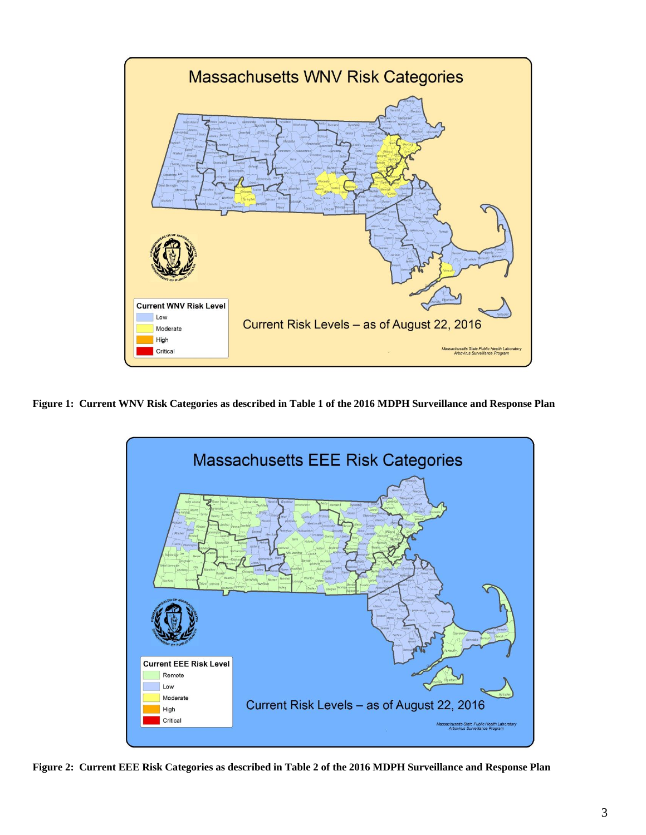

**Figure 1: Current WNV Risk Categories as described in Table 1 of the 2016 MDPH Surveillance and Response Plan**



**Figure 2: Current EEE Risk Categories as described in Table 2 of the 2016 MDPH Surveillance and Response Plan**